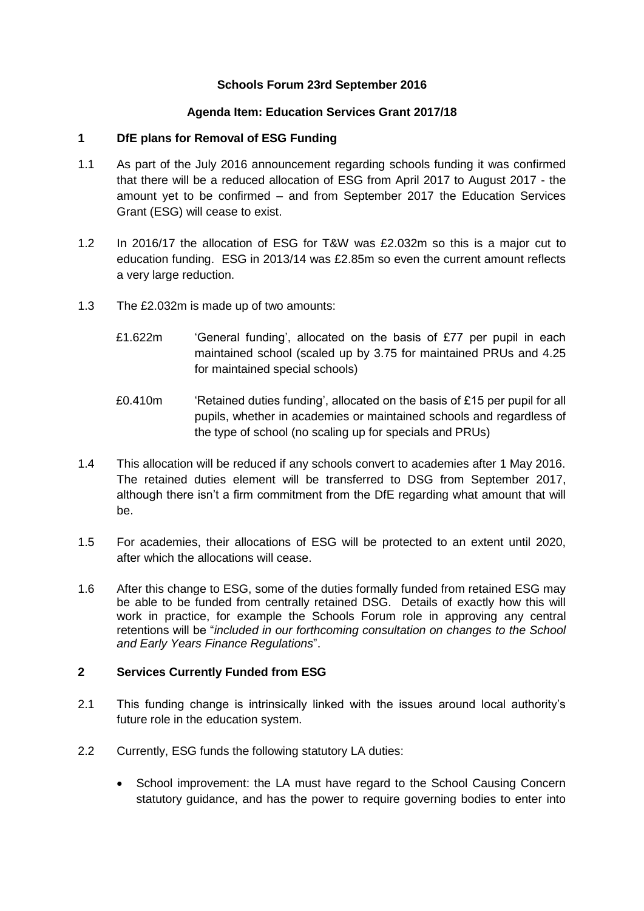## **Schools Forum 23rd September 2016**

## **Agenda Item: Education Services Grant 2017/18**

### **1 DfE plans for Removal of ESG Funding**

- 1.1 As part of the July 2016 announcement regarding schools funding it was confirmed that there will be a reduced allocation of ESG from April 2017 to August 2017 - the amount yet to be confirmed – and from September 2017 the Education Services Grant (ESG) will cease to exist.
- 1.2 In 2016/17 the allocation of ESG for T&W was £2.032m so this is a major cut to education funding. ESG in 2013/14 was £2.85m so even the current amount reflects a very large reduction.
- 1.3 The £2.032m is made up of two amounts:
	- £1.622m 'General funding', allocated on the basis of £77 per pupil in each maintained school (scaled up by 3.75 for maintained PRUs and 4.25 for maintained special schools)
	- £0.410m 'Retained duties funding', allocated on the basis of £15 per pupil for all pupils, whether in academies or maintained schools and regardless of the type of school (no scaling up for specials and PRUs)
- 1.4 This allocation will be reduced if any schools convert to academies after 1 May 2016. The retained duties element will be transferred to DSG from September 2017, although there isn't a firm commitment from the DfE regarding what amount that will be.
- 1.5 For academies, their allocations of ESG will be protected to an extent until 2020, after which the allocations will cease.
- 1.6 After this change to ESG, some of the duties formally funded from retained ESG may be able to be funded from centrally retained DSG. Details of exactly how this will work in practice, for example the Schools Forum role in approving any central retentions will be "*included in our forthcoming consultation on changes to the School and Early Years Finance Regulations*".

## **2 Services Currently Funded from ESG**

- 2.1 This funding change is intrinsically linked with the issues around local authority's future role in the education system.
- 2.2 Currently, ESG funds the following statutory LA duties:
	- School improvement: the LA must have regard to the School Causing Concern statutory guidance, and has the power to require governing bodies to enter into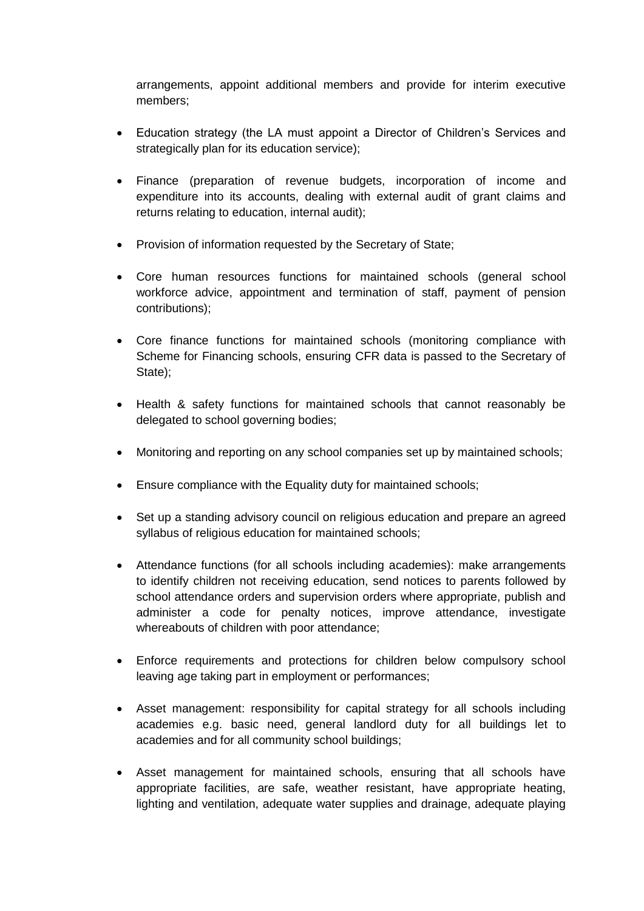arrangements, appoint additional members and provide for interim executive members;

- Education strategy (the LA must appoint a Director of Children's Services and strategically plan for its education service);
- Finance (preparation of revenue budgets, incorporation of income and expenditure into its accounts, dealing with external audit of grant claims and returns relating to education, internal audit);
- Provision of information requested by the Secretary of State;
- Core human resources functions for maintained schools (general school workforce advice, appointment and termination of staff, payment of pension contributions);
- Core finance functions for maintained schools (monitoring compliance with Scheme for Financing schools, ensuring CFR data is passed to the Secretary of State);
- Health & safety functions for maintained schools that cannot reasonably be delegated to school governing bodies;
- Monitoring and reporting on any school companies set up by maintained schools;
- Ensure compliance with the Equality duty for maintained schools;
- Set up a standing advisory council on religious education and prepare an agreed syllabus of religious education for maintained schools;
- Attendance functions (for all schools including academies): make arrangements to identify children not receiving education, send notices to parents followed by school attendance orders and supervision orders where appropriate, publish and administer a code for penalty notices, improve attendance, investigate whereabouts of children with poor attendance;
- Enforce requirements and protections for children below compulsory school leaving age taking part in employment or performances;
- Asset management: responsibility for capital strategy for all schools including academies e.g. basic need, general landlord duty for all buildings let to academies and for all community school buildings;
- Asset management for maintained schools, ensuring that all schools have appropriate facilities, are safe, weather resistant, have appropriate heating, lighting and ventilation, adequate water supplies and drainage, adequate playing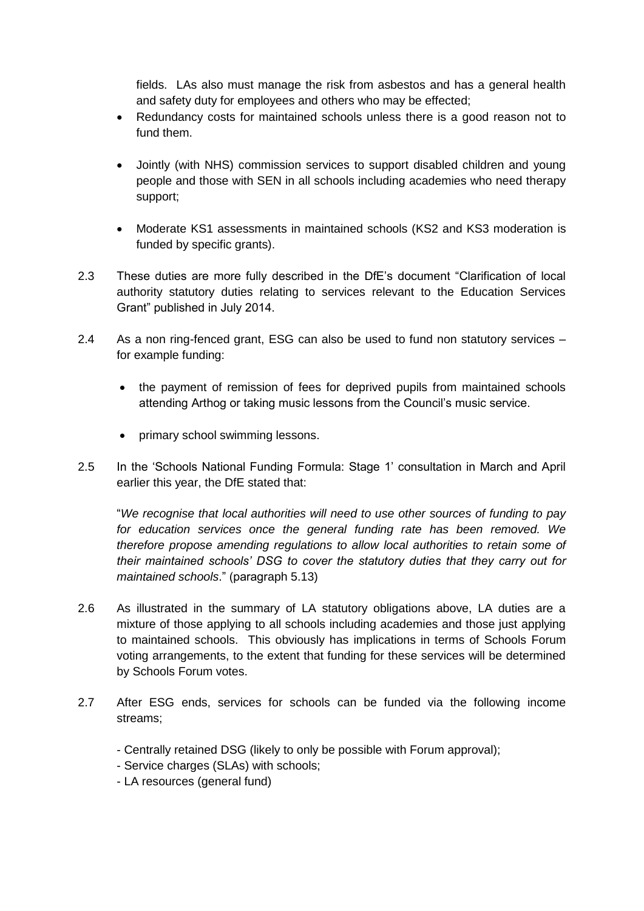fields. LAs also must manage the risk from asbestos and has a general health and safety duty for employees and others who may be effected;

- Redundancy costs for maintained schools unless there is a good reason not to fund them.
- Jointly (with NHS) commission services to support disabled children and young people and those with SEN in all schools including academies who need therapy support;
- Moderate KS1 assessments in maintained schools (KS2 and KS3 moderation is funded by specific grants).
- 2.3 These duties are more fully described in the DfE's document "Clarification of local authority statutory duties relating to services relevant to the Education Services Grant" published in July 2014.
- 2.4 As a non ring-fenced grant, ESG can also be used to fund non statutory services for example funding:
	- the payment of remission of fees for deprived pupils from maintained schools attending Arthog or taking music lessons from the Council's music service.
	- primary school swimming lessons.
- 2.5 In the 'Schools National Funding Formula: Stage 1' consultation in March and April earlier this year, the DfE stated that:

"*We recognise that local authorities will need to use other sources of funding to pay for education services once the general funding rate has been removed. We therefore propose amending regulations to allow local authorities to retain some of their maintained schools' DSG to cover the statutory duties that they carry out for maintained schools*." (paragraph 5.13)

- 2.6 As illustrated in the summary of LA statutory obligations above, LA duties are a mixture of those applying to all schools including academies and those just applying to maintained schools. This obviously has implications in terms of Schools Forum voting arrangements, to the extent that funding for these services will be determined by Schools Forum votes.
- 2.7 After ESG ends, services for schools can be funded via the following income streams;
	- Centrally retained DSG (likely to only be possible with Forum approval);
	- Service charges (SLAs) with schools;
	- LA resources (general fund)